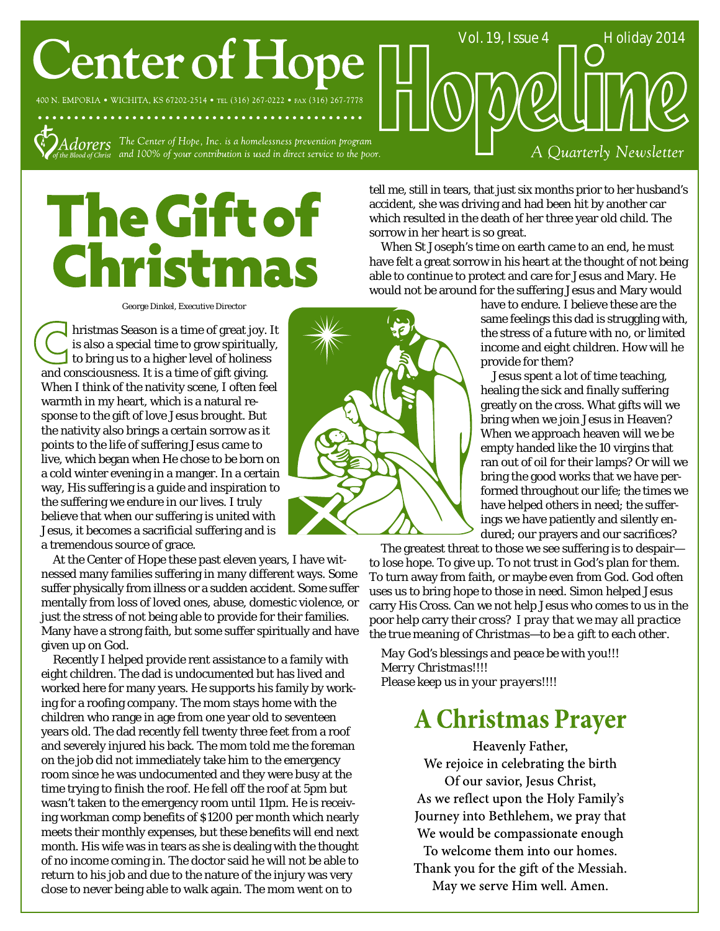# **Center of Hope**

400 N. EMPORIA . WICHITA, KS 67202-2514 . TEL (316) 267-0222 . FAX (316) 267-7778

 $Adorers$  The Center of Hope, Inc. is a homelessness prevention program  $\overline{A}_{\textit{below of Christ}}$  and 100% of your contribution is used in direct service to the poor.

tell me, still in tears, that just six months prior to her husband's accident, she was driving and had been hit by another car which resulted in the death of her three year old child. The sorrow in her heart is so great.

When St Joseph's time on earth came to an end, he must have felt a great sorrow in his heart at the thought of not being able to continue to protect and care for Jesus and Mary. He would not be around for the suffering Jesus and Mary would

> have to endure. I believe these are the same feelings this dad is struggling with, the stress of a future with no, or limited income and eight children. How will he provide for them?

Vol. 19, Issue 4 \_\_\_\_\_\_ Holiday 2014

A Quarterly Newsletter

Jesus spent a lot of time teaching, healing the sick and finally suffering greatly on the cross. What gifts will we bring when we join Jesus in Heaven? When we approach heaven will we be empty handed like the 10 virgins that ran out of oil for their lamps? Or will we bring the good works that we have performed throughout our life; the times we have helped others in need; the sufferings we have patiently and silently endured; our prayers and our sacrifices?

The greatest threat to those we see suffering is to despair to lose hope. To give up. To not trust in God's plan for them. To turn away from faith, or maybe even from God. God often uses us to bring hope to those in need. Simon helped Jesus carry His Cross. Can we not help Jesus who comes to us in the poor help carry their cross? *I pray that we may all practice the true meaning of Christmas—to be a gift to each other.*

*May God's blessings and peace be with you!!! Merry Christmas!!!! Please keep us in your prayers!!!!*

## **A Christmas Prayer**

Heavenly Father, We rejoice in celebrating the birth Of our savior, Jesus Christ, As we reflect upon the Holy Family's Journey into Bethlehem, we pray that We would be compassionate enough To welcome them into our homes. Thank you for the gift of the Messiah. May we serve Him well. Amen.

#### George Dinkel, Executive Director

The Gift of

**Christmas** 

hristmas Season is a time of great joy. It is also a special time to grow spiritually, to bring us to a higher level of holiness and consciousness. It is a time of gift giving. When I think of the nativity scene, I often feel warmth in my heart, which is a natural response to the gift of love Jesus brought. But the nativity also brings a certain sorrow as it points to the life of suffering Jesus came to live, which began when He chose to be born on a cold winter evening in a manger. In a certain way, His suffering is a guide and inspiration to the suffering we endure in our lives. I truly believe that when our suffering is united with Jesus, it becomes a sacrificial suffering and is a tremendous source of grace.

At the Center of Hope these past eleven years, I have witnessed many families suffering in many different ways. Some suffer physically from illness or a sudden accident. Some suffer mentally from loss of loved ones, abuse, domestic violence, or just the stress of not being able to provide for their families. Many have a strong faith, but some suffer spiritually and have given up on God.

Recently I helped provide rent assistance to a family with eight children. The dad is undocumented but has lived and worked here for many years. He supports his family by working for a roofing company. The mom stays home with the children who range in age from one year old to seventeen years old. The dad recently fell twenty three feet from a roof and severely injured his back. The mom told me the foreman on the job did not immediately take him to the emergency room since he was undocumented and they were busy at the time trying to finish the roof. He fell off the roof at 5pm but wasn't taken to the emergency room until 11pm. He is receiving workman comp benefits of \$1200 per month which nearly meets their monthly expenses, but these benefits will end next month. His wife was in tears as she is dealing with the thought of no income coming in. The doctor said he will not be able to return to his job and due to the nature of the injury was very close to never being able to walk again. The mom went on to

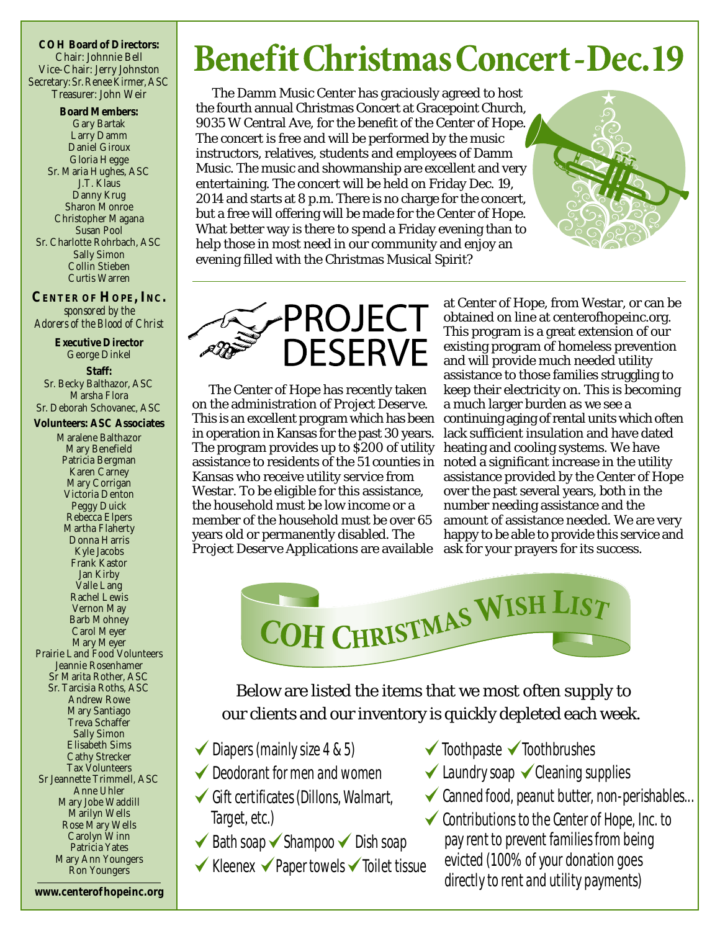**COH Board of Directors:** Chair: Johnnie Bell Vice-Chair: Jerry Johnston Secretary: Sr.Renee Kirmer, ASC Treasurer: John Weir

**Board Members:** Gary Bartak Larry Damm Daniel Giroux Gloria Hegge Sr. Maria Hughes, ASC J.T. Klaus Danny Krug Sharon Monroe Christopher Magana Susan Pool Sr. Charlotte Rohrbach, ASC Sally Simon Collin Stieben Curtis Warren

**CENTER OF HOPE, INC.** *sponsored by the Adorers of the Blood of Christ*

> **Executive Director** George Dinkel

**Staff:** Sr. Becky Balthazor, ASC Marsha Flora Sr. Deborah Schovanec, ASC

**Volunteers: ASC Associates** Maralene Balthazor Mary Benefield Patricia Bergman Karen Carney Mary Corrigan Victoria Denton Peggy Duick Rebecca Elpers Martha Flaherty Donna Harris Kyle Jacobs Frank Kastor Jan Kirby Valle Lang Rachel Lewis Vernon May Barb Mohney Carol Meyer Mary Meyer Prairie Land Food Volunteers Jeannie Rosenhamer Sr Marita Rother, ASC Sr. Tarcisia Roths, ASC Andrew Rowe Mary Santiago Treva Schaffer Sally Simon Elisabeth Sims Cathy Strecker Tax Volunteers Sr Jeannette Trimmell, ASC Anne Uhler Mary Jobe Waddill Marilyn Wells Rose Mary Wells Carolyn Winn Patricia Yates Mary Ann Youngers Ron Youngers

**Benefit Christmas Concert - Dec. 19** 

The Damm Music Center has graciously agreed to host the fourth annual Christmas Concert at Gracepoint Church, 9035 W Central Ave, for the benefit of the Center of Hope. The concert is free and will be performed by the music instructors, relatives, students and employees of Damm Music. The music and showmanship are excellent and very entertaining. The concert will be held on Friday Dec. 19, 2014 and starts at 8 p.m. There is no charge for the concert, but a free will offering will be made for the Center of Hope. What better way is there to spend a Friday evening than to help those in most need in our community and enjoy an evening filled with the Christmas Musical Spirit?



The Center of Hope has recently taken on the administration of *Project Deserve*. This is an excellent program which has been in operation in Kansas for the past 30 years. The program provides up to \$200 of utility assistance to residents of the 51 counties in Kansas who receive utility service from Westar. To be eligible for this assistance, the household must be low income or a member of the household must be over 65 years old or permanently disabled. The *Project Deserve* Applications are available

at Center of Hope, from Westar, or can be obtained on line at centerofhopeinc.org. This program is a great extension of our existing program of homeless prevention and will provide much needed utility assistance to those families struggling to keep their electricity on. This is becoming a much larger burden as we see a continuing aging of rental units which often lack sufficient insulation and have dated heating and cooling systems. We have noted a significant increase in the utility assistance provided by the Center of Hope over the past several years, both in the number needing assistance and the amount of assistance needed. We are very happy to be able to provide this service and ask for your prayers for its success.



Below are listed the items that we most often supply to our clients and our inventory is quickly depleted each week.

- $\blacktriangleright$  Diapers (mainly size 4 & 5)
- Deodorant for men and women
- $\checkmark$  Gift certificates (Dillons, Walmart, Target, etc.)
- $\blacktriangleright$  Bath soap  $\blacktriangleright$  Shampoo  $\blacktriangleright$  Dish soap
- $\checkmark$  Kleenex  $\checkmark$  Paper towels  $\checkmark$  Toilet tissue
- $\checkmark$  Toothpaste  $\checkmark$  Toothbrushes
- $\checkmark$  Laundry soap  $\checkmark$  Cleaning supplies
- $\checkmark$  Canned food, peanut butter, non-perishables...
- $\checkmark$  Contributions to the Center of Hope, Inc. to pay rent to prevent families from being evicted (100% of your donation goes directly to rent and utility payments)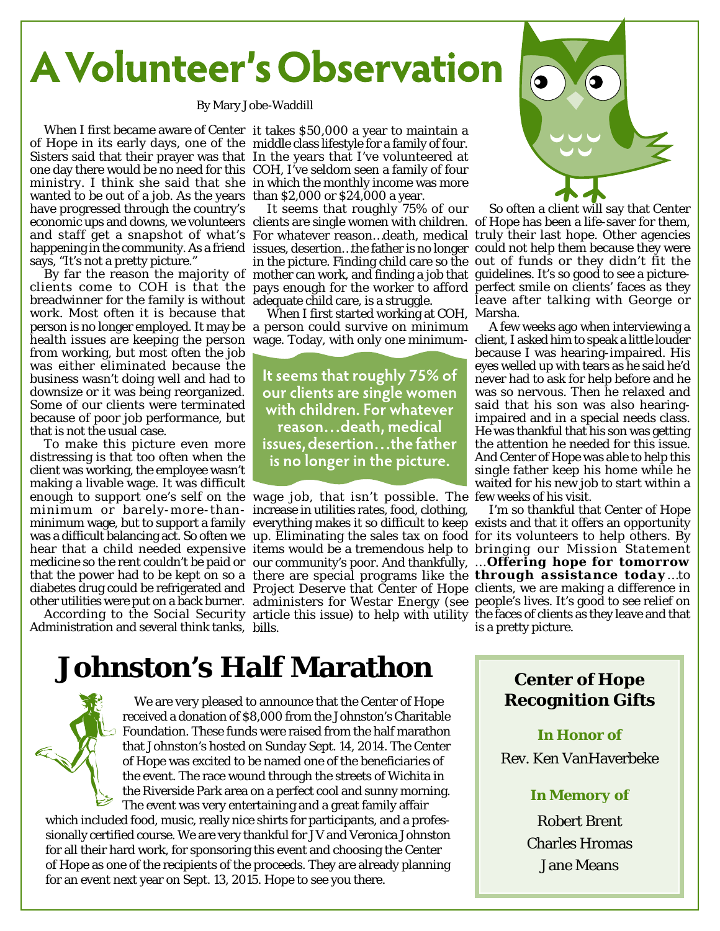## **A Volunteer's Observation**

By Mary Jobe-Waddill

of Hope in its early days, one of the middle class lifestyle for a family of four. Sisters said that their prayer was that In the years that I've volunteered at one day there would be no need for this COH, I've seldom seen a family of four ministry. I think she said that she in which the monthly income was more wanted to be out of a job. As the years than \$2,000 or \$24,000 a year. have progressed through the country's says, "It's not a pretty picture."

clients come to COH is that the pays enough for the worker to afford perfect smile on clients' faces as they breadwinner for the family is without adequate child care, is a struggle. work. Most often it is because that person is no longer employed. It may be a person could survive on minimum health issues are keeping the person wage. Today, with only one minimum-client, I asked him to speak a little louder from working, but most often the job was either eliminated because the business wasn't doing well and had to downsize or it was being reorganized. Some of our clients were terminated because of poor job performance, but that is not the usual case.

To make this picture even more distressing is that too often when the client was working, the employee wasn't making a livable wage. It was difficult minimum or barely-more-than-increase in utilities rates, food, clothing,

Administration and several think tanks, bills.

When I first became aware of Center it takes \$50,000 a year to maintain a

It seems that roughly 75% of our

When I first started working at COH, Marsha.

It seems that roughly 75% of our clients are single women with children. For whatever reason...death, medical issues, desertion...the father is no longer in the picture.

enough to support one's self on the wage job, that isn't possible. The few weeks of his visit. minimum wage, but to support a family everything makes it so difficult to keep exists and that it offers an opportunity was a difficult balancing act. So often weµup. Eliminating the sales tax on food for its volunteers to help others. By hear that a child needed expensive items would be a tremendous help to bringing our Mission Statement medicine so the rent couldn't be paid or our community's poor. And thankfully, ... *Offering hope for tomorrow* that the power had to be kept on so a there are special programs like the *through assistance today*…to diabetes drug could be refrigerated and Project Deserve that Center of Hope clients, we are making a difference in other utilities were put on a back burner. administers for Westar Energy (see people's lives. It's good to see relief on According to the Social Security article this issue) to help with utility the faces of clients as they leave and that



economic ups and downs, we volunteers clients are single women with children. of Hope has been a life-saver for them, and staff get a snapshot of what's For whatever reason…death, medical truly their last hope. Other agencies happening in the community. As a friend issues, desertion…the father is no longer could not help them because they were By far the reason the majority of mother can work, and finding a job that guidelines. It's so good to see a picturein the picture. Finding child care so the out of funds or they didn't fit the So often a client will say that Center leave after talking with George or

A few weeks ago when interviewing a because I was hearing-impaired. His eyes welled up with tears as he said he'd never had to ask for help before and he was so nervous. Then he relaxed and said that his son was also hearingimpaired and in a special needs class. He was thankful that his son was getting the attention he needed for this issue. And Center of Hope was able to help this single father keep his home while he waited for his new job to start within a

I'm so thankful that Center of Hope is a pretty picture.

## **Johnston's Half Marathon**



We are very pleased to announce that the Center of Hope received a donation of \$8,000 from the Johnston's Charitable Foundation. These funds were raised from the half marathon that Johnston's hosted on Sunday Sept. 14, 2014. The Center of Hope was excited to be named one of the beneficiaries of the event. The race wound through the streets of Wichita in the Riverside Park area on a perfect cool and sunny morning. The event was very entertaining and a great family affair

which included food, music, really nice shirts for participants, and a professionally certified course. We are very thankful for JV and Veronica Johnston for all their hard work, for sponsoring this event and choosing the Center of Hope as one of the recipients of the proceeds. They are already planning for an event next year on Sept. 13, 2015. Hope to see you there.

#### **Center of Hope Recognition Gifts**

#### *In Honor of*

Rev. Ken VanHaverbeke

#### *In Memory of*

Robert Brent Charles Hromas Jane Means